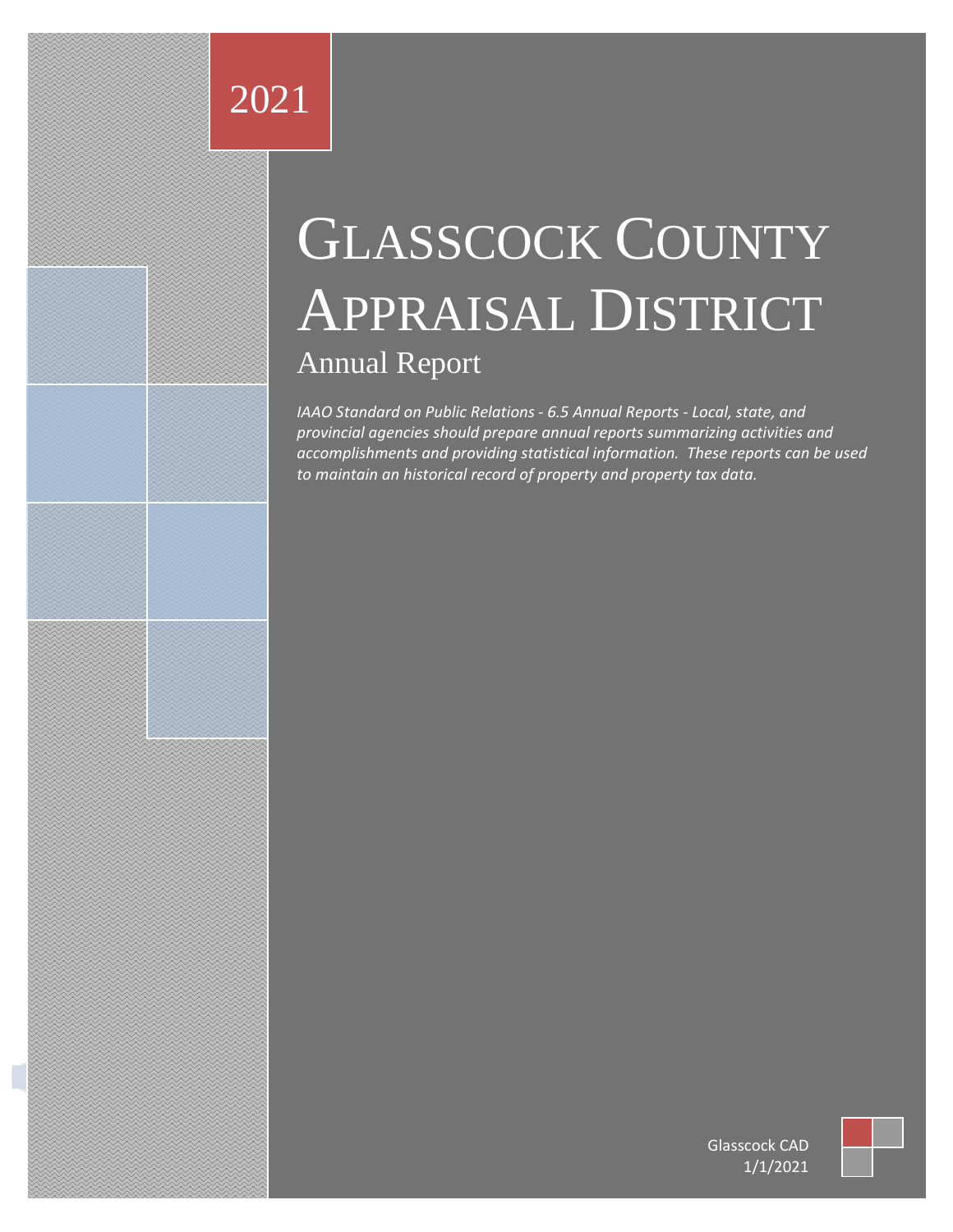## 2021

Glassification company address to the company address and company address of the company address.

# GLASSCOCK COUNTY APPRAISAL DISTRICT Annual Report

*IAAO Standard on Public Relations - 6.5 Annual Reports - Local, state, and provincial agencies should prepare annual reports summarizing activities and accomplishments and providing statistical information. These reports can be used to maintain an historical record of property and property tax data.* 



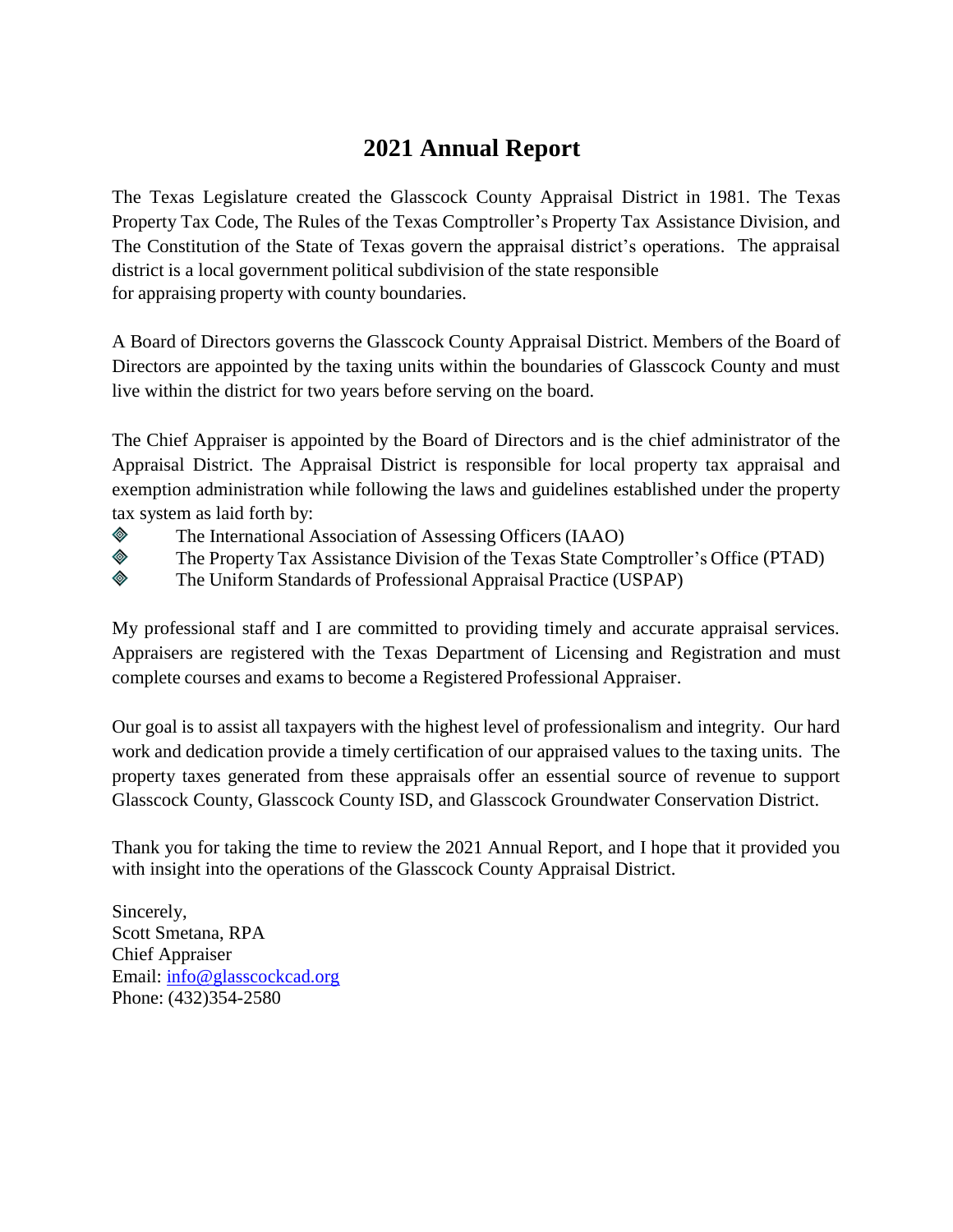#### **2021 Annual Report**

The Texas Legislature created the Glasscock County Appraisal District in 1981. The Texas Property Tax Code, The Rules of the Texas Comptroller's Property Tax Assistance Division, and The Constitution of the State of Texas govern the appraisal district's operations. The appraisal district is a local government political subdivision of the state responsible for appraising property with county boundaries.

A Board of Directors governs the Glasscock County Appraisal District. Members of the Board of Directors are appointed by the taxing units within the boundaries of Glasscock County and must live within the district for two years before serving on the board.

The Chief Appraiser is appointed by the Board of Directors and is the chief administrator of the Appraisal District. The Appraisal District is responsible for local property tax appraisal and exemption administration while following the laws and guidelines established under the property tax system as laid forth by:

- ◈ The International Association of Assessing Officers (IAAO)
- ◈ The Property Tax Assistance Division of the Texas State Comptroller's Office (PTAD)
- ◈ The Uniform Standards of Professional Appraisal Practice (USPAP)

My professional staff and I are committed to providing timely and accurate appraisal services. Appraisers are registered with the Texas Department of Licensing and Registration and must complete courses and exams to become a Registered Professional Appraiser.

Our goal is to assist all taxpayers with the highest level of professionalism and integrity. Our hard work and dedication provide a timely certification of our appraised values to the taxing units. The property taxes generated from these appraisals offer an essential source of revenue to support Glasscock County, Glasscock County ISD, and Glasscock Groundwater Conservation District.

Thank you for taking the time to review the 2021 Annual Report, and I hope that it provided you with insight into the operations of the Glasscock County Appraisal District.

Sincerely, Scott Smetana, RPA Chief Appraiser Email: [info@glasscockcad.org](mailto:info@glasscockcad.org) Phone: (432)354-2580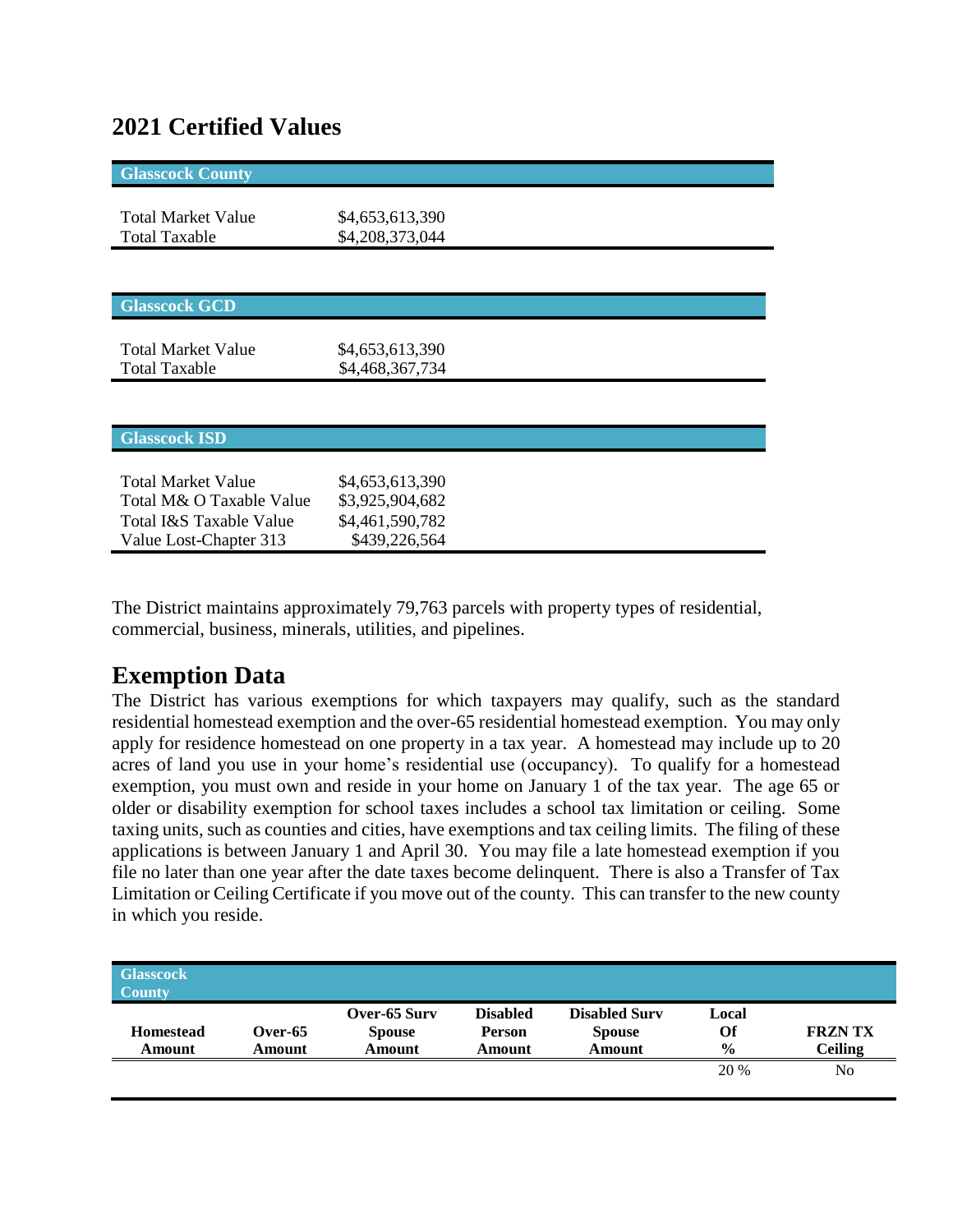#### **2021 Certified Values**

| <b>Glasscock County</b>   |                 |  |
|---------------------------|-----------------|--|
|                           |                 |  |
| <b>Total Market Value</b> | \$4,653,613,390 |  |
| <b>Total Taxable</b>      | \$4,208,373,044 |  |
|                           |                 |  |
|                           |                 |  |
| <b>Glasscock GCD</b>      |                 |  |
| <b>Total Market Value</b> |                 |  |
|                           | \$4,653,613,390 |  |
| <b>Total Taxable</b>      | \$4,468,367,734 |  |
|                           |                 |  |
|                           |                 |  |
| <b>Glasscock ISD</b>      |                 |  |
|                           |                 |  |
| <b>Total Market Value</b> | \$4,653,613,390 |  |
| Total M& O Taxable Value  | \$3,925,904,682 |  |
| Total I&S Taxable Value   | \$4,461,590,782 |  |
| Value Lost-Chapter 313    | \$439,226,564   |  |

The District maintains approximately 79,763 parcels with property types of residential, commercial, business, minerals, utilities, and pipelines.

#### **Exemption Data**

The District has various exemptions for which taxpayers may qualify, such as the standard residential homestead exemption and the over-65 residential homestead exemption. You may only apply for residence homestead on one property in a tax year. A homestead may include up to 20 acres of land you use in your home's residential use (occupancy). To qualify for a homestead exemption, you must own and reside in your home on January 1 of the tax year. The age 65 or older or disability exemption for school taxes includes a school tax limitation or ceiling. Some taxing units, such as counties and cities, have exemptions and tax ceiling limits. The filing of these applications is between January 1 and April 30. You may file a late homestead exemption if you file no later than one year after the date taxes become delinquent. There is also a Transfer of Tax Limitation or Ceiling Certificate if you move out of the county. This can transfer to the new county in which you reside.

| <b>Glasscock</b><br><b>County</b> |            |               |                 |                      |               |                |
|-----------------------------------|------------|---------------|-----------------|----------------------|---------------|----------------|
|                                   |            | Over-65 Surv  | <b>Disabled</b> | <b>Disabled Surv</b> | Local         |                |
| <b>Homestead</b>                  | Over- $65$ | <b>Spouse</b> | <b>Person</b>   | <b>Spouse</b>        | Of            | <b>FRZNTX</b>  |
| Amount                            | Amount     | Amount        | Amount          | Amount               | $\frac{0}{0}$ | <b>Ceiling</b> |
|                                   |            |               |                 |                      | 20 %          | No             |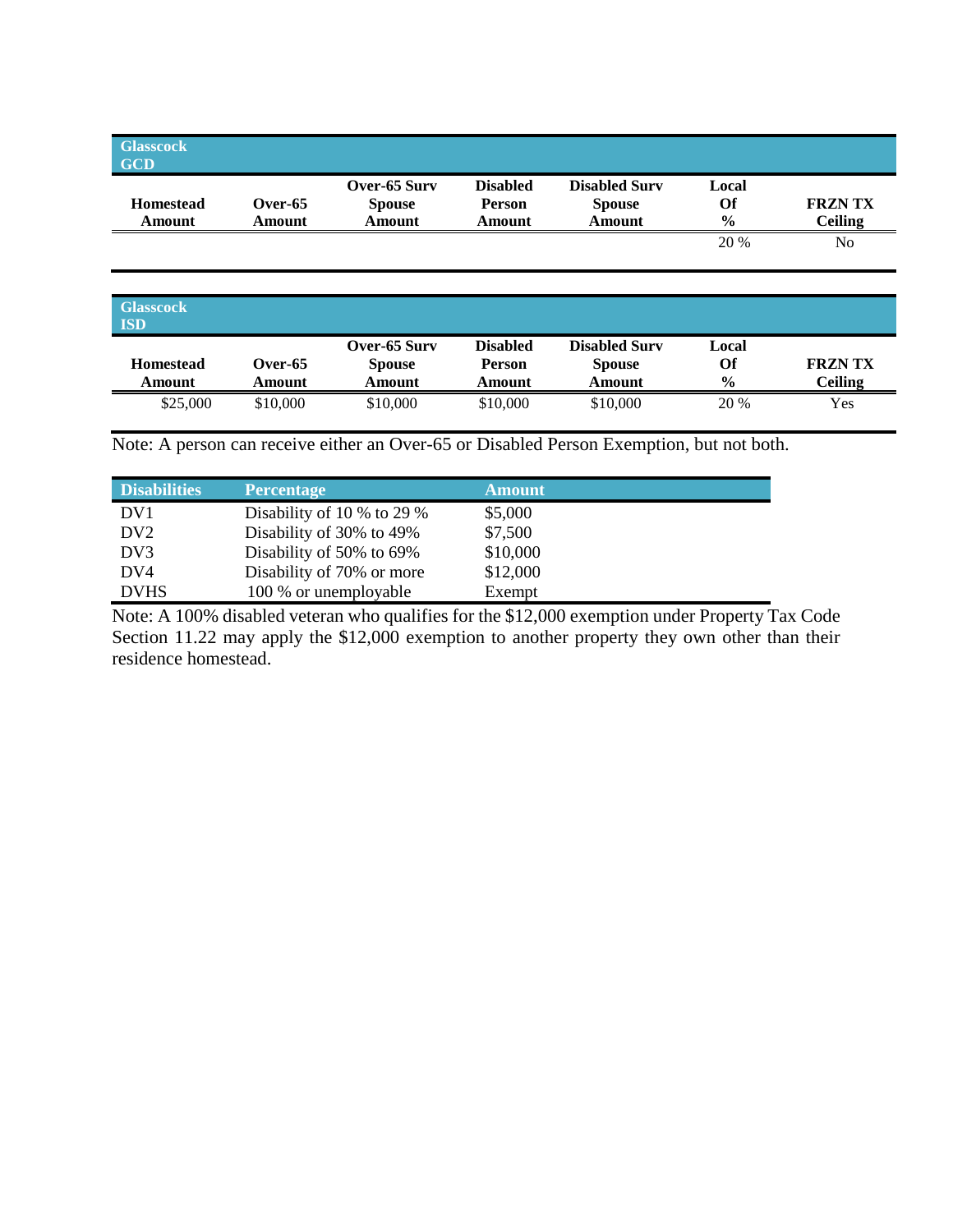| <b>Glasscock</b><br><b>GCD</b> |         |                               |                           |                                       |               |                |
|--------------------------------|---------|-------------------------------|---------------------------|---------------------------------------|---------------|----------------|
| <b>Homestead</b>               | Over-65 | Over-65 Surv<br><b>Spouse</b> | <b>Disabled</b><br>Person | <b>Disabled Surv</b><br><b>Spouse</b> | Local<br>Of   | <b>FRZN TX</b> |
| Amount                         | Amount  | Amount                        | Amount                    | Amount                                | $\frac{0}{0}$ | <b>Ceiling</b> |
|                                |         |                               |                           |                                       | 20 %          | No             |
|                                |         |                               |                           |                                       |               |                |

| <b>Glasscock</b><br><b>ISD</b> |                   |                                         |                                            |                                                 |                              |                                 |
|--------------------------------|-------------------|-----------------------------------------|--------------------------------------------|-------------------------------------------------|------------------------------|---------------------------------|
| <b>Homestead</b><br>Amount     | Over-65<br>Amount | Over-65 Surv<br><b>Spouse</b><br>Amount | <b>Disabled</b><br><b>Person</b><br>Amount | <b>Disabled Surv</b><br><b>Spouse</b><br>Amount | Local<br>Of<br>$\frac{0}{0}$ | <b>FRZNTX</b><br><b>Ceiling</b> |
| \$25,000                       | \$10,000          | \$10,000                                | \$10,000                                   | \$10,000                                        | 20 %                         | Yes                             |

Note: A person can receive either an Over-65 or Disabled Person Exemption, but not both.

| <b>Disabilities</b> | <b>Percentage</b>                | <b>Amount</b> |
|---------------------|----------------------------------|---------------|
| DV <sub>1</sub>     | Disability of 10 $\%$ to 29 $\%$ | \$5,000       |
| DV <sub>2</sub>     | Disability of 30% to 49%         | \$7,500       |
| DV3                 | Disability of 50% to 69%         | \$10,000      |
| DV4                 | Disability of 70% or more        | \$12,000      |
| <b>DVHS</b>         | 100 % or unemployable            | Exempt        |

Note: A 100% disabled veteran who qualifies for the \$12,000 exemption under Property Tax Code Section 11.22 may apply the \$12,000 exemption to another property they own other than their residence homestead.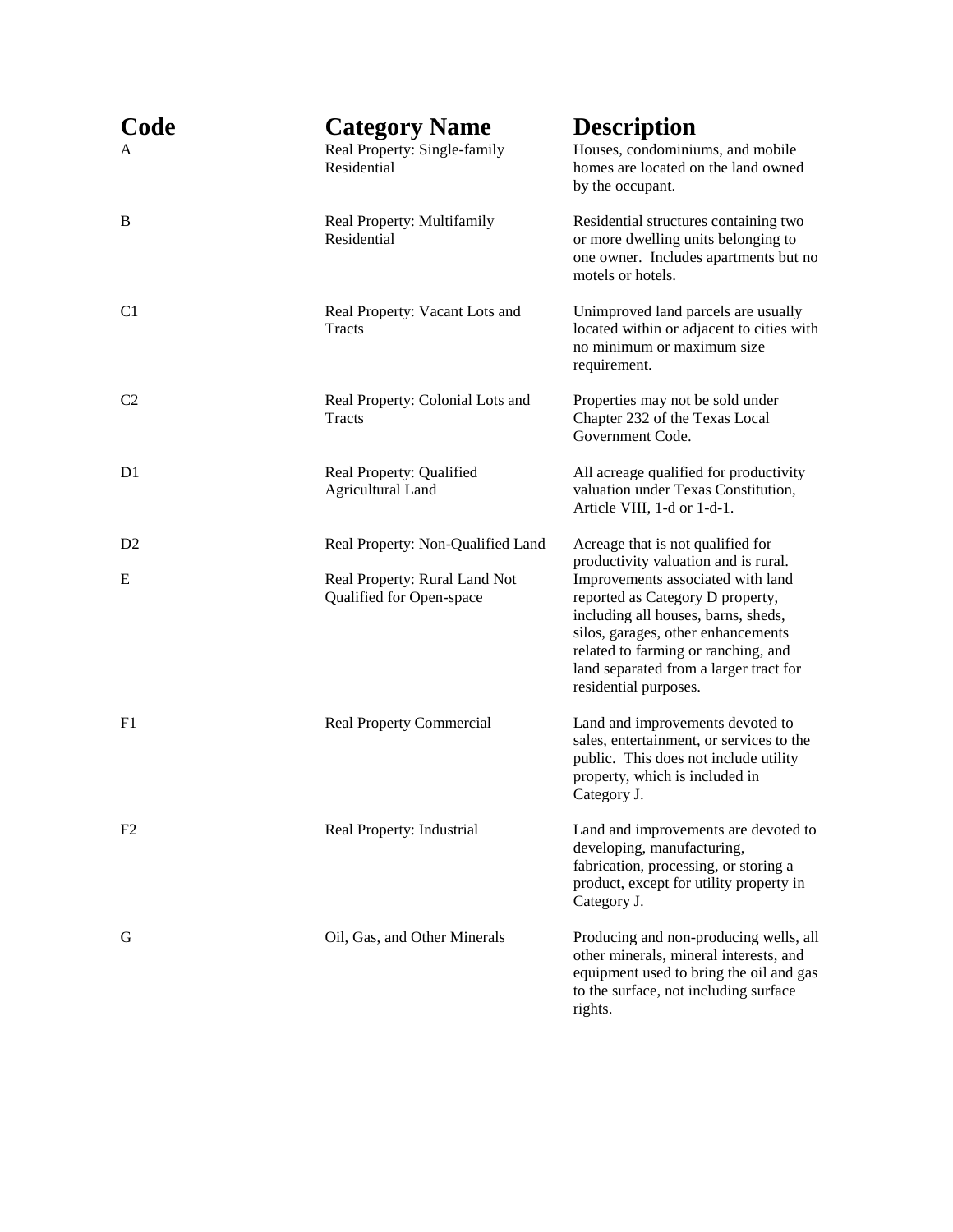| Code<br>Α      | <b>Category Name</b><br>Real Property: Single-family<br>Residential                            | <b>Description</b><br>Houses, condominiums, and mobile<br>homes are located on the land owned<br>by the occupant.                                                                                                                                                                                                                         |
|----------------|------------------------------------------------------------------------------------------------|-------------------------------------------------------------------------------------------------------------------------------------------------------------------------------------------------------------------------------------------------------------------------------------------------------------------------------------------|
| B              | Real Property: Multifamily<br>Residential                                                      | Residential structures containing two<br>or more dwelling units belonging to<br>one owner. Includes apartments but no<br>motels or hotels.                                                                                                                                                                                                |
| C <sub>1</sub> | Real Property: Vacant Lots and<br>Tracts                                                       | Unimproved land parcels are usually<br>located within or adjacent to cities with<br>no minimum or maximum size<br>requirement.                                                                                                                                                                                                            |
| C <sub>2</sub> | Real Property: Colonial Lots and<br>Tracts                                                     | Properties may not be sold under<br>Chapter 232 of the Texas Local<br>Government Code.                                                                                                                                                                                                                                                    |
| D <sub>1</sub> | Real Property: Qualified<br><b>Agricultural Land</b>                                           | All acreage qualified for productivity<br>valuation under Texas Constitution,<br>Article VIII, 1-d or 1-d-1.                                                                                                                                                                                                                              |
| D2<br>E        | Real Property: Non-Qualified Land<br>Real Property: Rural Land Not<br>Qualified for Open-space | Acreage that is not qualified for<br>productivity valuation and is rural.<br>Improvements associated with land<br>reported as Category D property,<br>including all houses, barns, sheds,<br>silos, garages, other enhancements<br>related to farming or ranching, and<br>land separated from a larger tract for<br>residential purposes. |
| F1             | <b>Real Property Commercial</b>                                                                | Land and improvements devoted to<br>sales, entertainment, or services to the<br>public. This does not include utility<br>property, which is included in<br>Category J.                                                                                                                                                                    |
| F2             | Real Property: Industrial                                                                      | Land and improvements are devoted to<br>developing, manufacturing,<br>fabrication, processing, or storing a<br>product, except for utility property in<br>Category J.                                                                                                                                                                     |
| G              | Oil, Gas, and Other Minerals                                                                   | Producing and non-producing wells, all<br>other minerals, mineral interests, and<br>equipment used to bring the oil and gas<br>to the surface, not including surface<br>rights.                                                                                                                                                           |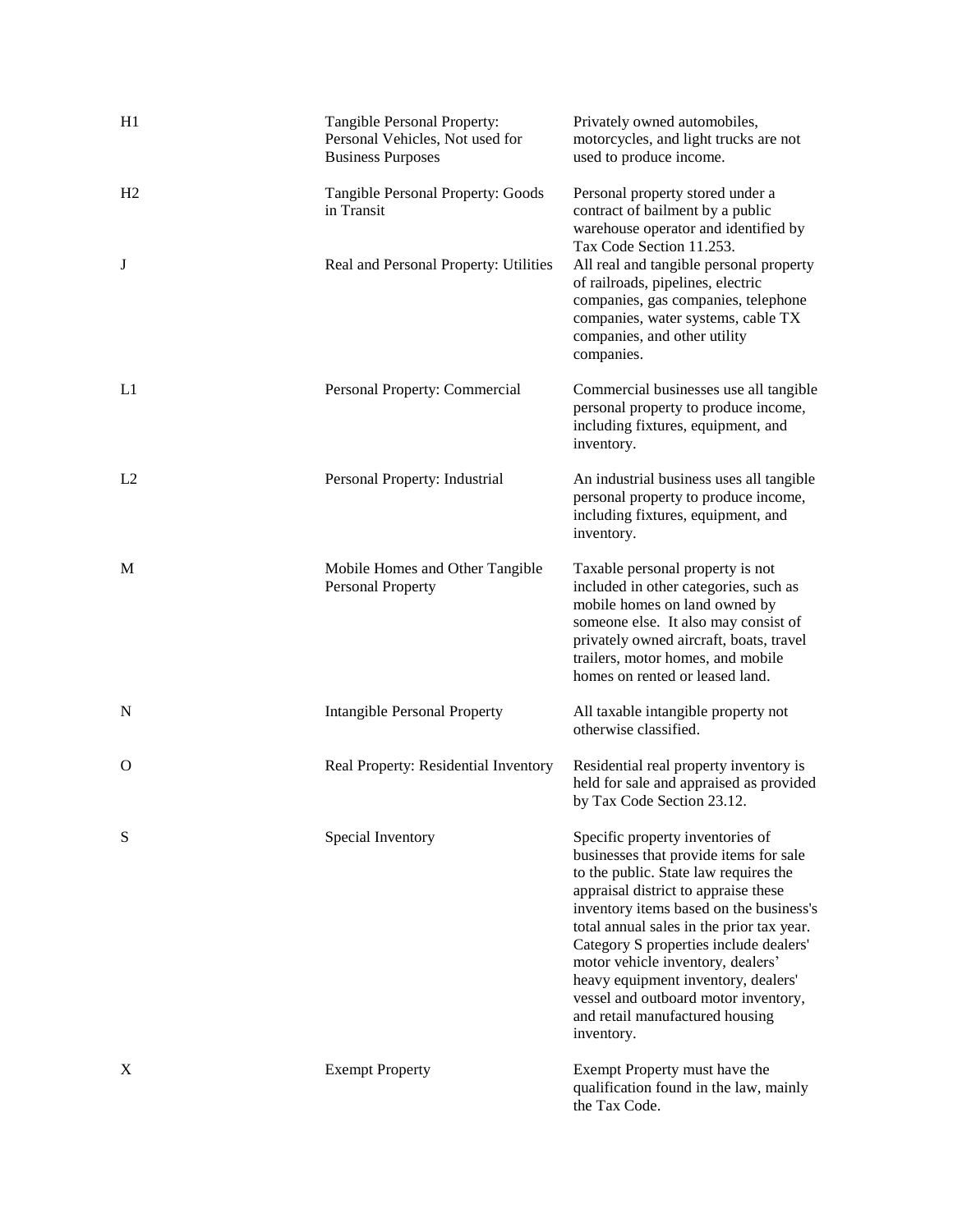| H1 | Tangible Personal Property:<br>Personal Vehicles, Not used for<br><b>Business Purposes</b> | Privately owned automobiles,<br>motorcycles, and light trucks are not<br>used to produce income.                                                                                                                                                                                                                                                                                                                                                                   |  |
|----|--------------------------------------------------------------------------------------------|--------------------------------------------------------------------------------------------------------------------------------------------------------------------------------------------------------------------------------------------------------------------------------------------------------------------------------------------------------------------------------------------------------------------------------------------------------------------|--|
| H2 | Tangible Personal Property: Goods<br>in Transit                                            | Personal property stored under a<br>contract of bailment by a public<br>warehouse operator and identified by<br>Tax Code Section 11.253.                                                                                                                                                                                                                                                                                                                           |  |
| J  | Real and Personal Property: Utilities                                                      | All real and tangible personal property<br>of railroads, pipelines, electric<br>companies, gas companies, telephone<br>companies, water systems, cable TX<br>companies, and other utility<br>companies.                                                                                                                                                                                                                                                            |  |
| L1 | Personal Property: Commercial                                                              | Commercial businesses use all tangible<br>personal property to produce income,<br>including fixtures, equipment, and<br>inventory.                                                                                                                                                                                                                                                                                                                                 |  |
| L2 | Personal Property: Industrial                                                              | An industrial business uses all tangible<br>personal property to produce income,<br>including fixtures, equipment, and<br>inventory.                                                                                                                                                                                                                                                                                                                               |  |
| М  | Mobile Homes and Other Tangible<br>Personal Property                                       | Taxable personal property is not<br>included in other categories, such as<br>mobile homes on land owned by<br>someone else. It also may consist of<br>privately owned aircraft, boats, travel<br>trailers, motor homes, and mobile<br>homes on rented or leased land.                                                                                                                                                                                              |  |
| N  | <b>Intangible Personal Property</b>                                                        | All taxable intangible property not<br>otherwise classified.                                                                                                                                                                                                                                                                                                                                                                                                       |  |
| О  | Real Property: Residential Inventory                                                       | Residential real property inventory is<br>held for sale and appraised as provided<br>by Tax Code Section 23.12.                                                                                                                                                                                                                                                                                                                                                    |  |
| S  | Special Inventory                                                                          | Specific property inventories of<br>businesses that provide items for sale<br>to the public. State law requires the<br>appraisal district to appraise these<br>inventory items based on the business's<br>total annual sales in the prior tax year.<br>Category S properties include dealers'<br>motor vehicle inventory, dealers'<br>heavy equipment inventory, dealers'<br>vessel and outboard motor inventory,<br>and retail manufactured housing<br>inventory. |  |
| X  | <b>Exempt Property</b>                                                                     | Exempt Property must have the<br>qualification found in the law, mainly<br>the Tax Code.                                                                                                                                                                                                                                                                                                                                                                           |  |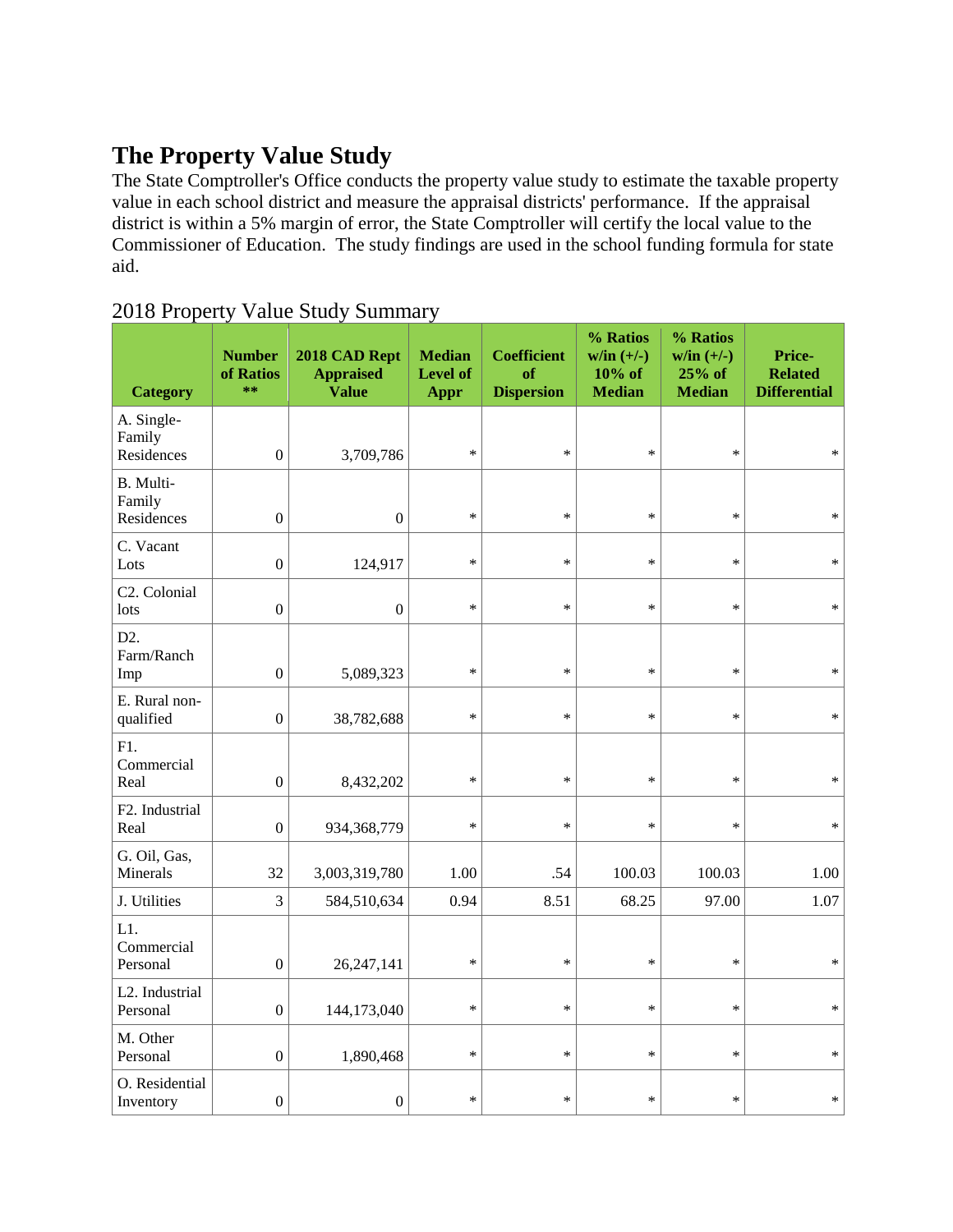#### **The Property Value Study**

The State Comptroller's Office conducts the property value study to estimate the taxable property value in each school district and measure the appraisal districts' performance. If the appraisal district is within a 5% margin of error, the State Comptroller will certify the local value to the Commissioner of Education. The study findings are used in the school funding formula for state aid.

| <b>Category</b>                       | <b>Number</b><br>of Ratios<br>$**$ | 2018 CAD Rept<br><b>Appraised</b><br><b>Value</b> | <b>Median</b><br><b>Level of</b><br>Appr | <b>Coefficient</b><br>of<br><b>Dispersion</b> | % Ratios<br>$w/in (+/-)$<br>$10%$ of<br><b>Median</b> | % Ratios<br>$w/in (+/-)$<br>25% of<br><b>Median</b> | Price-<br><b>Related</b><br><b>Differential</b> |
|---------------------------------------|------------------------------------|---------------------------------------------------|------------------------------------------|-----------------------------------------------|-------------------------------------------------------|-----------------------------------------------------|-------------------------------------------------|
| A. Single-<br>Family<br>Residences    | $\boldsymbol{0}$                   | 3,709,786                                         | $\ast$                                   | $\ast$                                        | $\ast$                                                | *                                                   | $\ast$                                          |
| B. Multi-<br>Family<br>Residences     | $\boldsymbol{0}$                   | $\boldsymbol{0}$                                  | $\ast$                                   | $\ast$                                        | $\ast$                                                | $\ast$                                              | $\ast$                                          |
| C. Vacant<br>Lots                     | $\boldsymbol{0}$                   | 124,917                                           | $\ast$                                   | $\ast$                                        | $\ast$                                                | *                                                   | $\ast$                                          |
| C <sub>2</sub> . Colonial<br>lots     | $\boldsymbol{0}$                   | $\boldsymbol{0}$                                  | $\ast$                                   | $\ast$                                        | $\ast$                                                | *                                                   | *                                               |
| D <sub>2</sub> .<br>Farm/Ranch<br>Imp | $\boldsymbol{0}$                   | 5,089,323                                         | $\ast$                                   | $\ast$                                        | $\ast$                                                | *                                                   | $\ast$                                          |
| E. Rural non-<br>qualified            | $\boldsymbol{0}$                   | 38,782,688                                        | $\ast$                                   | $\ast$                                        | $\ast$                                                | $\ast$                                              | $\ast$                                          |
| F1.<br>Commercial<br>Real             | $\boldsymbol{0}$                   | 8,432,202                                         | $\ast$                                   | $\ast$                                        | $\ast$                                                | *                                                   | $\ast$                                          |
| F2. Industrial<br>Real                | $\boldsymbol{0}$                   | 934, 368, 779                                     | $\ast$                                   | $\ast$                                        | $\ast$                                                | *                                                   | *                                               |
| G. Oil, Gas,<br>Minerals              | 32                                 | 3,003,319,780                                     | 1.00                                     | .54                                           | 100.03                                                | 100.03                                              | 1.00                                            |
| J. Utilities                          | 3                                  | 584,510,634                                       | 0.94                                     | 8.51                                          | 68.25                                                 | 97.00                                               | 1.07                                            |
| L1.<br>Commercial<br>Personal         | $\boldsymbol{0}$                   | 26, 247, 141                                      | $\ast$                                   | $\ast$                                        | $\ast$                                                | *                                                   | $\ast$                                          |
| L2. Industrial<br>Personal            | $\theta$                           | 144,173,040                                       | $\ast$                                   | $\ast$                                        | $\ast$                                                | *                                                   | $\ast$                                          |
| M. Other<br>Personal                  | $\boldsymbol{0}$                   | 1,890,468                                         | $\ast$                                   | $\ast$                                        | $\ast$                                                | *                                                   | *                                               |
| O. Residential<br>Inventory           | $\boldsymbol{0}$                   | $\boldsymbol{0}$                                  | $\ast$                                   | $\ast$                                        | $\ast$                                                | $\ast$                                              | *                                               |

#### 2018 Property Value Study Summary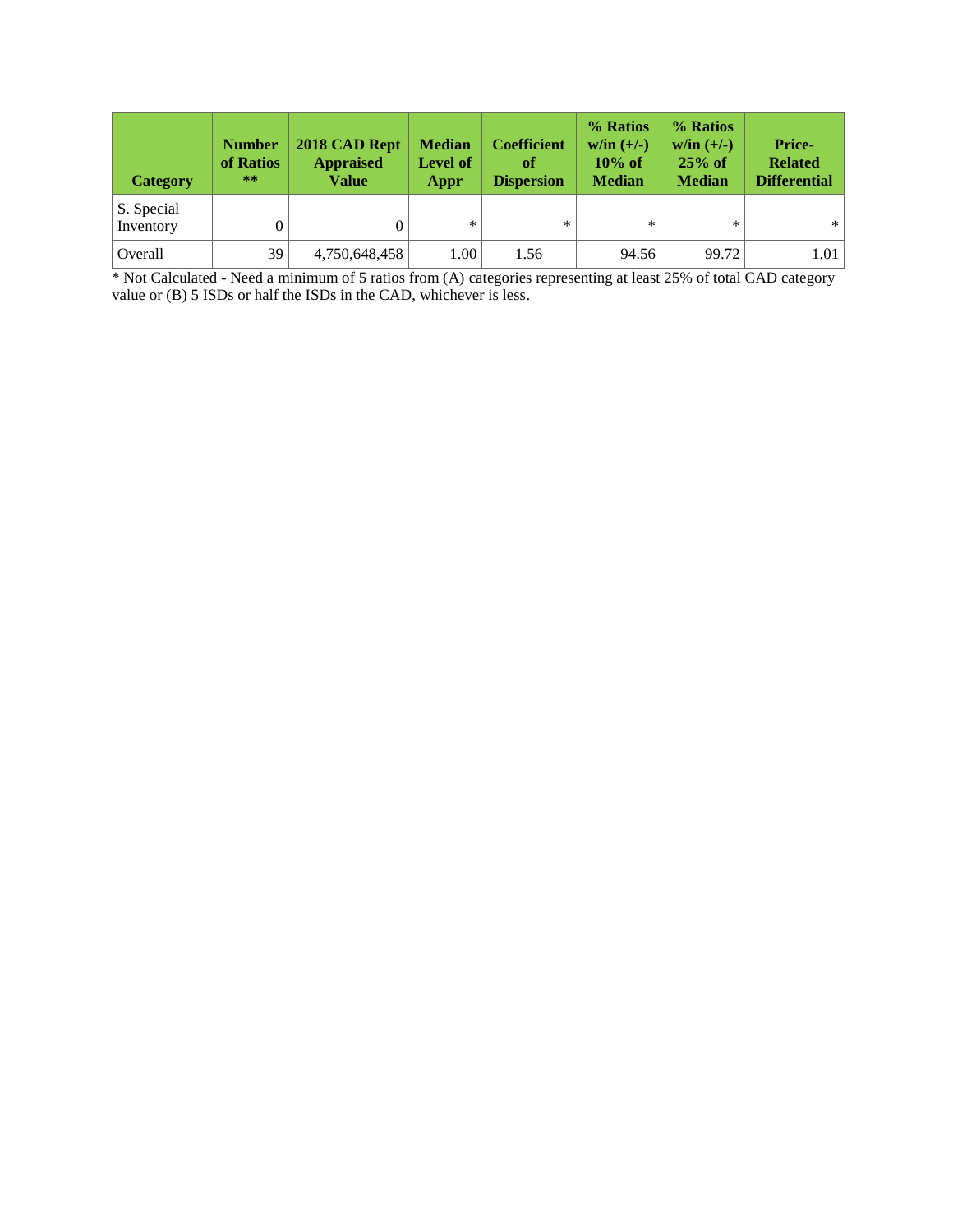| <b>Category</b>         | <b>Number</b><br>of Ratios<br>$***$ | 2018 CAD Rept<br><b>Appraised</b><br>Value | <b>Median</b><br><b>Level of</b><br>Appr | <b>Coefficient</b><br>of<br><b>Dispersion</b> | % Ratios<br>$w/in (+/-)$<br>$10\%$ of<br><b>Median</b> | % Ratios<br>$w/in (+/-)$<br>$25%$ of<br><b>Median</b> | Price-<br><b>Related</b><br><b>Differential</b> |
|-------------------------|-------------------------------------|--------------------------------------------|------------------------------------------|-----------------------------------------------|--------------------------------------------------------|-------------------------------------------------------|-------------------------------------------------|
| S. Special<br>Inventory |                                     |                                            | $\ast$                                   | $\ast$                                        | $\ast$                                                 | *                                                     | $*$                                             |
| Overall                 | 39                                  | 4,750,648,458                              | 1.00                                     | 1.56                                          | 94.56                                                  | 99.72                                                 | 1.01                                            |

\* Not Calculated - Need a minimum of 5 ratios from (A) categories representing at least 25% of total CAD category value or (B) 5 ISDs or half the ISDs in the CAD, whichever is less.